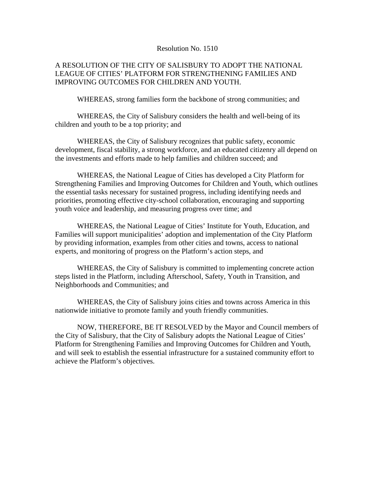## Resolution No. 1510

## A RESOLUTION OF THE CITY OF SALISBURY TO ADOPT THE NATIONAL LEAGUE OF CITIES' PLATFORM FOR STRENGTHENING FAMILIES AND IMPROVING OUTCOMES FOR CHILDREN AND YOUTH.

WHEREAS, strong families form the backbone of strong communities; and

 WHEREAS, the City of Salisbury considers the health and well-being of its children and youth to be a top priority; and

 WHEREAS, the City of Salisbury recognizes that public safety, economic development, fiscal stability, a strong workforce, and an educated citizenry all depend on the investments and efforts made to help families and children succeed; and

 WHEREAS, the National League of Cities has developed a City Platform for Strengthening Families and Improving Outcomes for Children and Youth, which outlines the essential tasks necessary for sustained progress, including identifying needs and priorities, promoting effective city-school collaboration, encouraging and supporting youth voice and leadership, and measuring progress over time; and

 WHEREAS, the National League of Cities' Institute for Youth, Education, and Families will support municipalities' adoption and implementation of the City Platform by providing information, examples from other cities and towns, access to national experts, and monitoring of progress on the Platform's action steps, and

 WHEREAS, the City of Salisbury is committed to implementing concrete action steps listed in the Platform, including Afterschool, Safety, Youth in Transition, and Neighborhoods and Communities; and

 WHEREAS, the City of Salisbury joins cities and towns across America in this nationwide initiative to promote family and youth friendly communities.

 NOW, THEREFORE, BE IT RESOLVED by the Mayor and Council members of the City of Salisbury, that the City of Salisbury adopts the National League of Cities' Platform for Strengthening Families and Improving Outcomes for Children and Youth, and will seek to establish the essential infrastructure for a sustained community effort to achieve the Platform's objectives.